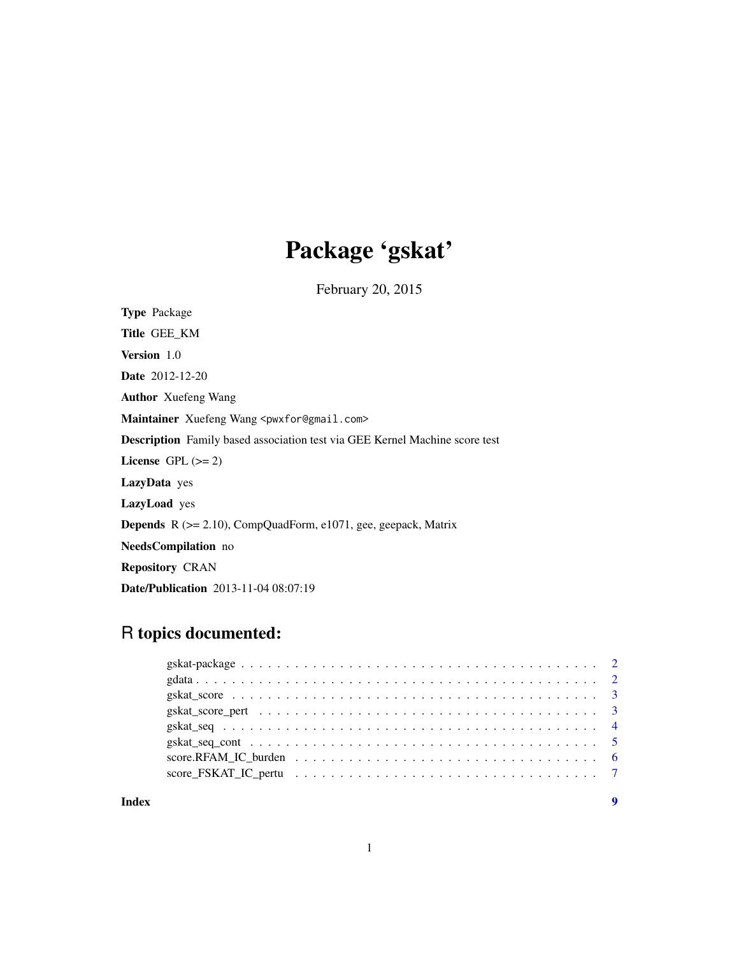## Package 'gskat'

February 20, 2015

Type Package Title GEE\_KM Version 1.0 Date 2012-12-20 Author Xuefeng Wang Maintainer Xuefeng Wang <pwxfor@gmail.com> Description Family based association test via GEE Kernel Machine score test License GPL  $(>= 2)$ LazyData yes LazyLoad yes Depends R (>= 2.10), CompQuadForm, e1071, gee, geepack, Matrix NeedsCompilation no Repository CRAN Date/Publication 2013-11-04 08:07:19

### R topics documented:

**Index** [9](#page-8-0)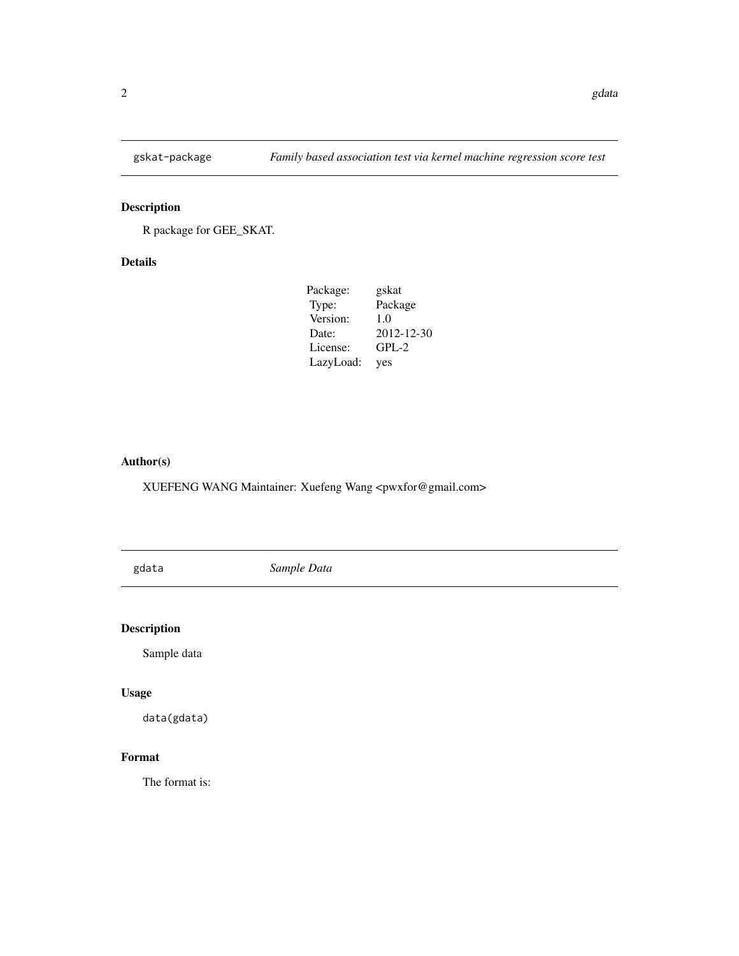<span id="page-1-0"></span>

#### Description

R package for GEE\_SKAT.

#### Details

| Package:  | gskat      |
|-----------|------------|
| Type:     | Package    |
| Version:  | 1.0        |
| Date:     | 2012-12-30 |
| License:  | $GPL-2$    |
| LazyLoad: | yes        |

#### Author(s)

XUEFENG WANG Maintainer: Xuefeng Wang <pwxfor@gmail.com>

gdata *Sample Data*

#### Description

Sample data

#### Usage

data(gdata)

#### Format

The format is: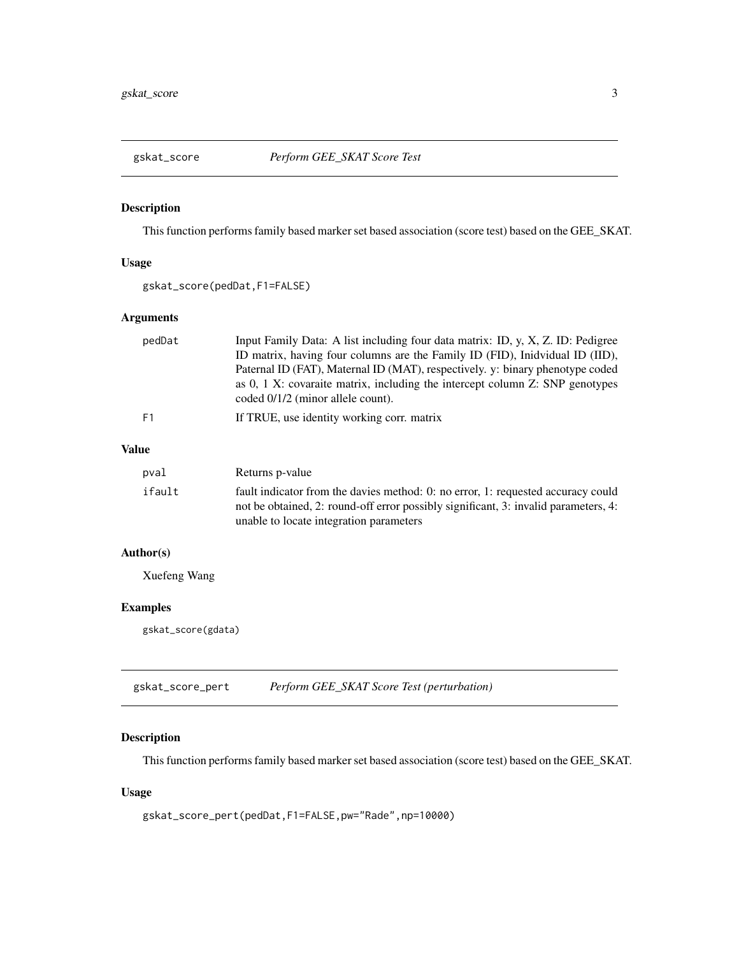<span id="page-2-0"></span>

#### Description

This function performs family based marker set based association (score test) based on the GEE\_SKAT.

#### Usage

gskat\_score(pedDat,F1=FALSE)

#### Arguments

| pedDat | Input Family Data: A list including four data matrix: ID, y, X, Z. ID: Pedigree<br>ID matrix, having four columns are the Family ID (FID), Inidvidual ID (IID),<br>Paternal ID (FAT), Maternal ID (MAT), respectively. y: binary phenotype coded<br>as 0, 1 X: covaraite matrix, including the intercept column Z: SNP genotypes<br>coded 0/1/2 (minor allele count). |
|--------|-----------------------------------------------------------------------------------------------------------------------------------------------------------------------------------------------------------------------------------------------------------------------------------------------------------------------------------------------------------------------|
| F1     | If TRUE, use identity working corr. matrix                                                                                                                                                                                                                                                                                                                            |
| 11е    |                                                                                                                                                                                                                                                                                                                                                                       |

#### Value

| Returns p-value                                                                                                                                                                                                    |
|--------------------------------------------------------------------------------------------------------------------------------------------------------------------------------------------------------------------|
| fault indicator from the davies method: 0: no error, 1: requested accuracy could<br>not be obtained, 2: round-off error possibly significant, 3: invalid parameters, 4:<br>unable to locate integration parameters |
|                                                                                                                                                                                                                    |

#### Author(s)

Xuefeng Wang

#### Examples

gskat\_score(gdata)

gskat\_score\_pert *Perform GEE\_SKAT Score Test (perturbation)*

#### Description

This function performs family based marker set based association (score test) based on the GEE\_SKAT.

#### Usage

```
gskat_score_pert(pedDat,F1=FALSE,pw="Rade",np=10000)
```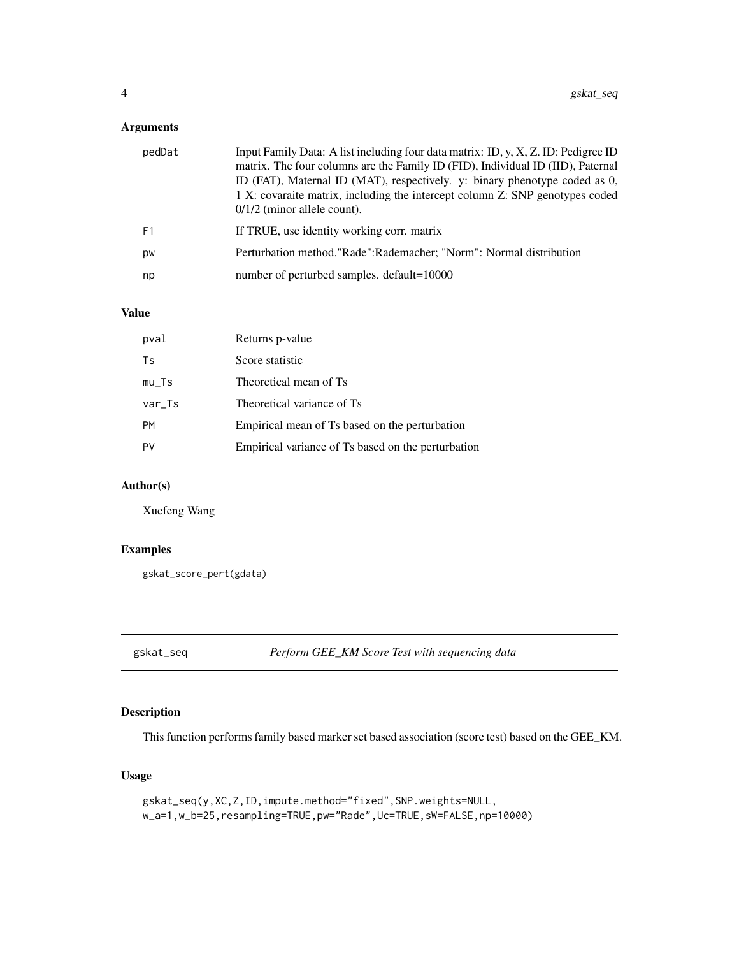<span id="page-3-0"></span>

| pedDat         | Input Family Data: A list including four data matrix: ID, y, X, Z. ID: Pedigree ID<br>matrix. The four columns are the Family ID (FID), Individual ID (IID), Paternal<br>ID (FAT), Maternal ID (MAT), respectively. y: binary phenotype coded as 0,<br>1 X: covaraite matrix, including the intercept column Z: SNP genotypes coded<br>$0/1/2$ (minor allele count). |
|----------------|----------------------------------------------------------------------------------------------------------------------------------------------------------------------------------------------------------------------------------------------------------------------------------------------------------------------------------------------------------------------|
| F <sub>1</sub> | If TRUE, use identity working corr. matrix                                                                                                                                                                                                                                                                                                                           |
| pw             | Perturbation method."Rade":Rademacher; "Norm": Normal distribution                                                                                                                                                                                                                                                                                                   |
| np             | number of perturbed samples. default=10000                                                                                                                                                                                                                                                                                                                           |

#### Value

| pval      | Returns p-value                                    |
|-----------|----------------------------------------------------|
| Ts        | Score statistic                                    |
| $mu_T$ s  | Theoretical mean of Ts                             |
| $var_Ts$  | Theoretical variance of Ts                         |
| <b>PM</b> | Empirical mean of Ts based on the perturbation     |
| PV        | Empirical variance of Ts based on the perturbation |

#### Author(s)

Xuefeng Wang

#### Examples

```
gskat_score_pert(gdata)
```
gskat\_seq *Perform GEE\_KM Score Test with sequencing data*

#### Description

This function performs family based marker set based association (score test) based on the GEE\_KM.

#### Usage

```
gskat_seq(y,XC,Z,ID,impute.method="fixed",SNP.weights=NULL,
w_a=1,w_b=25,resampling=TRUE,pw="Rade",Uc=TRUE,sW=FALSE,np=10000)
```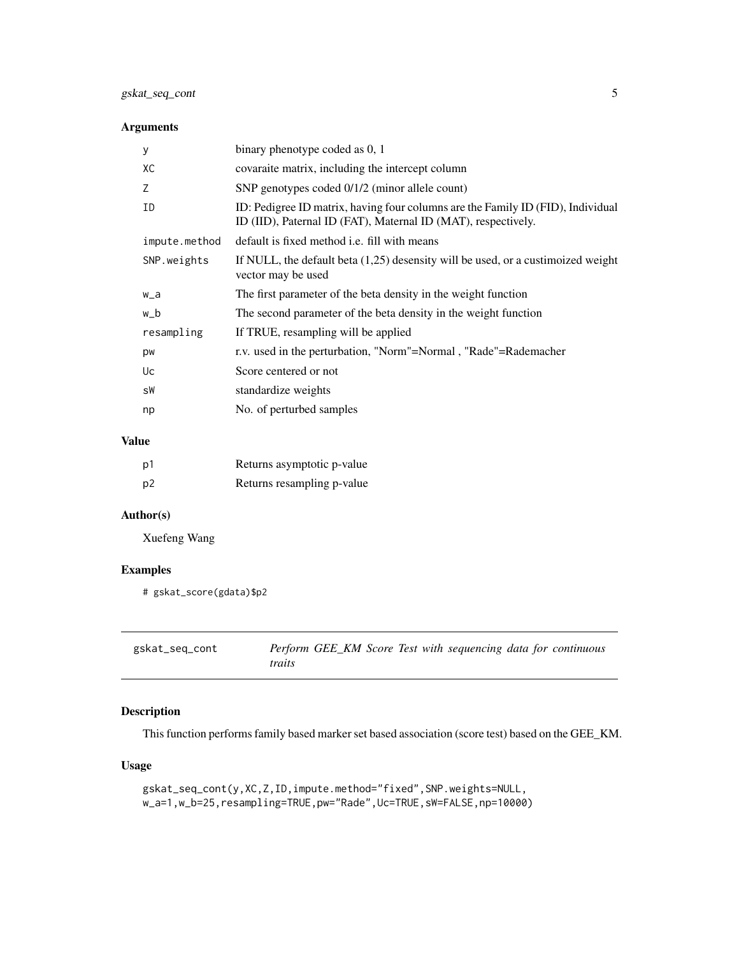<span id="page-4-0"></span>

| У             | binary phenotype coded as 0, 1                                                                                                                   |
|---------------|--------------------------------------------------------------------------------------------------------------------------------------------------|
| XC            | covaraite matrix, including the intercept column                                                                                                 |
| Z             | SNP genotypes coded 0/1/2 (minor allele count)                                                                                                   |
| ID            | ID: Pedigree ID matrix, having four columns are the Family ID (FID), Individual<br>ID (IID), Paternal ID (FAT), Maternal ID (MAT), respectively. |
| impute.method | default is fixed method <i>i.e.</i> fill with means                                                                                              |
| SNP.weights   | If NULL, the default beta $(1,25)$ desensity will be used, or a custimoized weight<br>vector may be used                                         |
| w_a           | The first parameter of the beta density in the weight function                                                                                   |
| w_b           | The second parameter of the beta density in the weight function                                                                                  |
| resampling    | If TRUE, resampling will be applied                                                                                                              |
| pw            | r.v. used in the perturbation, "Norm"=Normal, "Rade"=Rademacher                                                                                  |
| Uc            | Score centered or not                                                                                                                            |
| sW            | standardize weights                                                                                                                              |
| np            | No. of perturbed samples                                                                                                                         |
|               |                                                                                                                                                  |

#### Value

| p1             | Returns asymptotic p-value |
|----------------|----------------------------|
| p <sub>2</sub> | Returns resampling p-value |

#### Author(s)

Xuefeng Wang

#### Examples

```
# gskat_score(gdata)$p2
```

| gskat_seq_cont |        |  |  | Perform GEE_KM Score Test with sequencing data for continuous |  |  |
|----------------|--------|--|--|---------------------------------------------------------------|--|--|
|                | traits |  |  |                                                               |  |  |

#### Description

This function performs family based marker set based association (score test) based on the GEE\_KM.

#### Usage

```
gskat_seq_cont(y,XC,Z,ID,impute.method="fixed",SNP.weights=NULL,
w_a=1,w_b=25,resampling=TRUE,pw="Rade",Uc=TRUE,sW=FALSE,np=10000)
```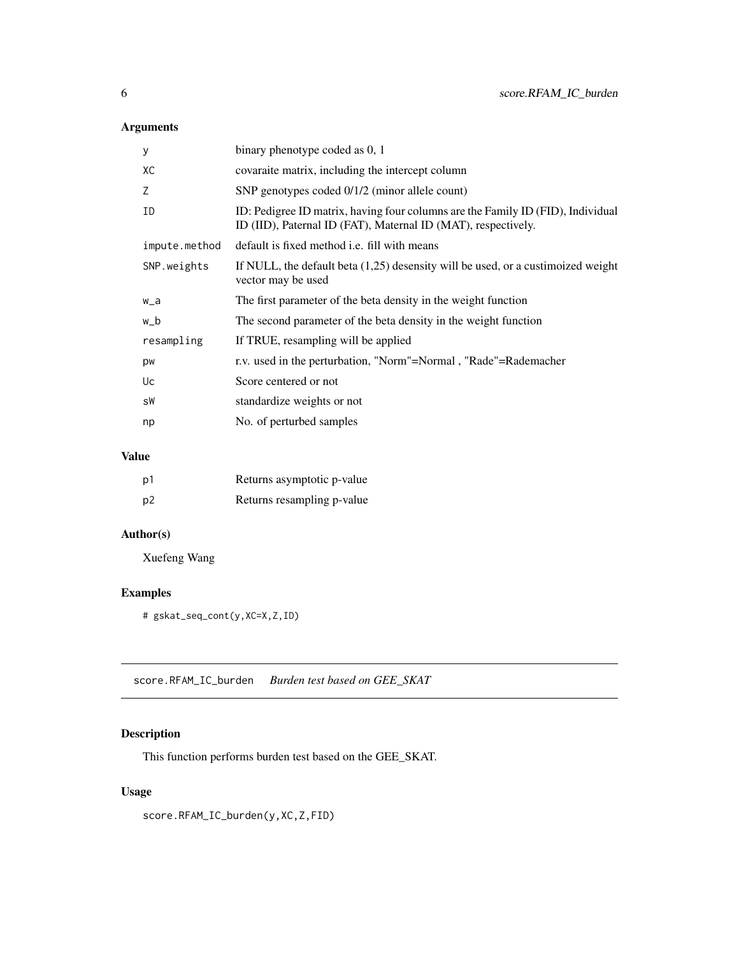<span id="page-5-0"></span>

| y             | binary phenotype coded as 0, 1                                                                                                                   |
|---------------|--------------------------------------------------------------------------------------------------------------------------------------------------|
| XC            | covaraite matrix, including the intercept column                                                                                                 |
| Z             | SNP genotypes coded 0/1/2 (minor allele count)                                                                                                   |
| ΙD            | ID: Pedigree ID matrix, having four columns are the Family ID (FID), Individual<br>ID (IID), Paternal ID (FAT), Maternal ID (MAT), respectively. |
| impute.method | default is fixed method <i>i.e.</i> fill with means                                                                                              |
| SNP.weights   | If NULL, the default beta $(1,25)$ desensity will be used, or a custimoized weight<br>vector may be used                                         |
| w_a           | The first parameter of the beta density in the weight function                                                                                   |
| w_b           | The second parameter of the beta density in the weight function                                                                                  |
| resampling    | If TRUE, resampling will be applied                                                                                                              |
| pw            | r.v. used in the perturbation, "Norm"=Normal, "Rade"=Rademacher                                                                                  |
| Uc            | Score centered or not                                                                                                                            |
| sW            | standardize weights or not                                                                                                                       |
| np            | No. of perturbed samples                                                                                                                         |
|               |                                                                                                                                                  |

#### Value

| p1             | Returns asymptotic p-value |
|----------------|----------------------------|
| p <sub>2</sub> | Returns resampling p-value |

#### Author(s)

Xuefeng Wang

#### Examples

# gskat\_seq\_cont(y,XC=X,Z,ID)

score.RFAM\_IC\_burden *Burden test based on GEE\_SKAT*

#### Description

This function performs burden test based on the GEE\_SKAT.

#### Usage

score.RFAM\_IC\_burden(y,XC,Z,FID)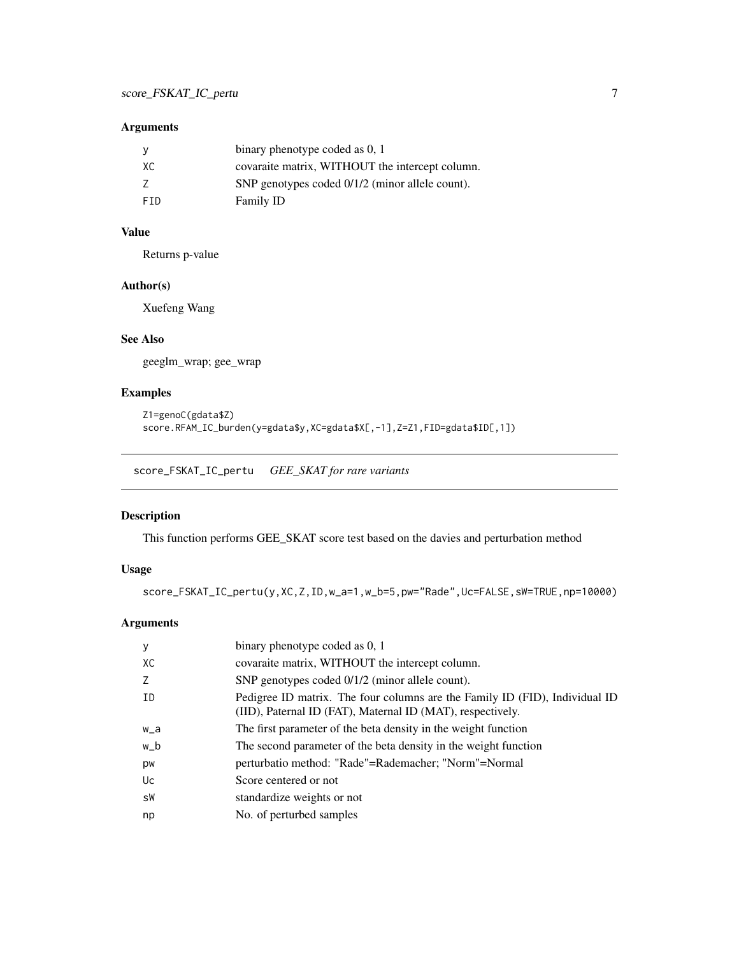<span id="page-6-0"></span>

|            | binary phenotype coded as 0, 1                  |
|------------|-------------------------------------------------|
| XC.        | covaraite matrix, WITHOUT the intercept column. |
|            | SNP genotypes coded 0/1/2 (minor allele count). |
| <b>FTD</b> | Family ID                                       |

#### Value

Returns p-value

#### Author(s)

Xuefeng Wang

#### See Also

geeglm\_wrap; gee\_wrap

#### Examples

```
Z1=genoC(gdata$Z)
score.RFAM_IC_burden(y=gdata$y,XC=gdata$X[,-1],Z=Z1,FID=gdata$ID[,1])
```
score\_FSKAT\_IC\_pertu *GEE\_SKAT for rare variants*

#### Description

This function performs GEE\_SKAT score test based on the davies and perturbation method

#### Usage

score\_FSKAT\_IC\_pertu(y,XC,Z,ID,w\_a=1,w\_b=5,pw="Rade",Uc=FALSE,sW=TRUE,np=10000)

#### Arguments

| У     | binary phenotype coded as 0, 1                                                                                                            |
|-------|-------------------------------------------------------------------------------------------------------------------------------------------|
| XC    | covaraite matrix, WITHOUT the intercept column.                                                                                           |
| 7     | SNP genotypes coded 0/1/2 (minor allele count).                                                                                           |
| ID    | Pedigree ID matrix. The four columns are the Family ID (FID), Individual ID<br>(IID), Paternal ID (FAT), Maternal ID (MAT), respectively. |
| $W_a$ | The first parameter of the beta density in the weight function                                                                            |
| w_b   | The second parameter of the beta density in the weight function                                                                           |
| pw    | perturbatio method: "Rade"=Rademacher; "Norm"=Normal                                                                                      |
| Uc    | Score centered or not                                                                                                                     |
| sW    | standardize weights or not                                                                                                                |
| np    | No. of perturbed samples                                                                                                                  |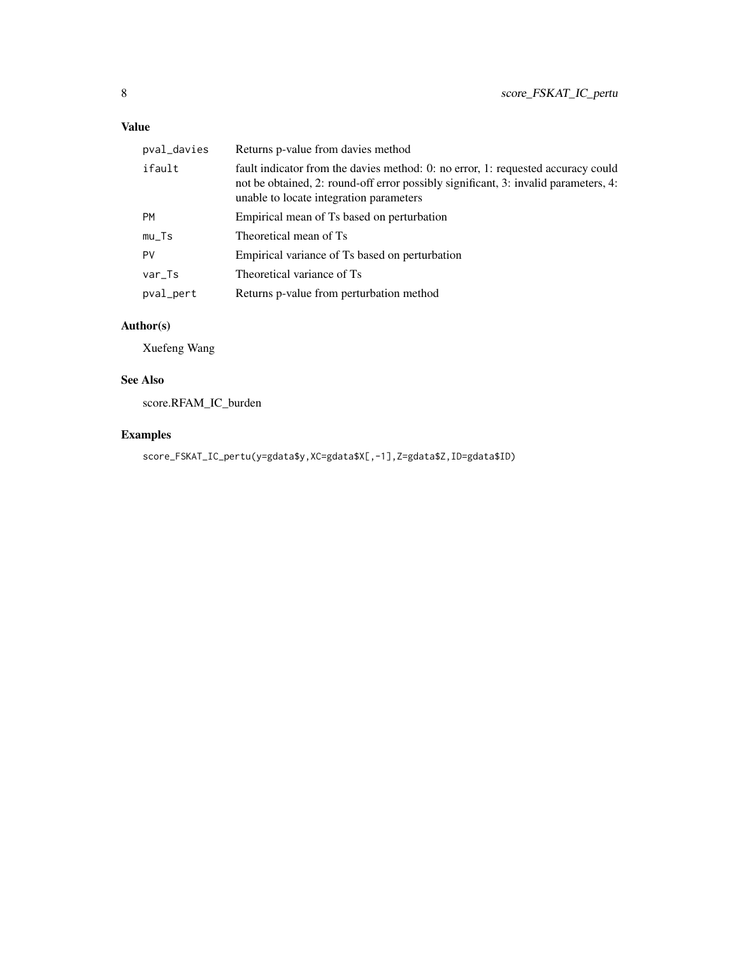#### Value

| pval_davies | Returns p-value from davies method                                                                                                                                                                                 |
|-------------|--------------------------------------------------------------------------------------------------------------------------------------------------------------------------------------------------------------------|
| ifault      | fault indicator from the davies method: 0: no error, 1: requested accuracy could<br>not be obtained, 2: round-off error possibly significant, 3: invalid parameters, 4:<br>unable to locate integration parameters |
| <b>PM</b>   | Empirical mean of Ts based on perturbation                                                                                                                                                                         |
| $mu_T$ s    | Theoretical mean of Ts                                                                                                                                                                                             |
| PV          | Empirical variance of Ts based on perturbation                                                                                                                                                                     |
| $var_Ts$    | Theoretical variance of Ts                                                                                                                                                                                         |
| pval_pert   | Returns p-value from perturbation method                                                                                                                                                                           |

#### Author(s)

Xuefeng Wang

#### See Also

score.RFAM\_IC\_burden

#### Examples

score\_FSKAT\_IC\_pertu(y=gdata\$y,XC=gdata\$X[,-1],Z=gdata\$Z,ID=gdata\$ID)